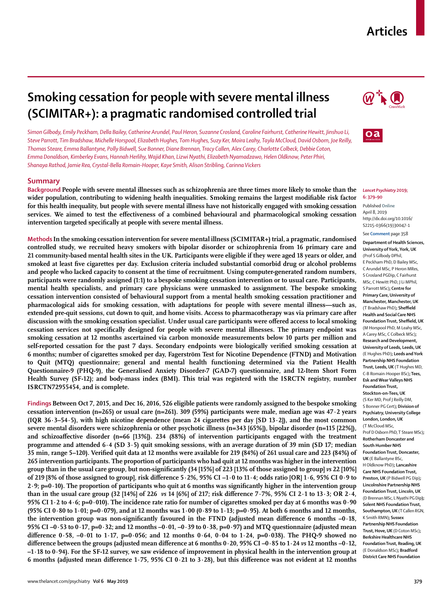## **Articles**

# **Smoking cessation for people with severe mental illness (SCIMITAR+): a pragmatic randomised controlled trial**

*Simon Gilbody, Emily Peckham, Della Bailey, Catherine Arundel, Paul Heron, Suzanne Crosland, Caroline Fairhurst, Catherine Hewitt, Jinshuo Li, Steve Parrott, Tim Bradshaw, Michelle Horspool, Elizabeth Hughes, Tom Hughes, Suzy Ker, Moira Leahy, Tayla McCloud, David Osborn, Joe Reilly, Thomas Steare, Emma Ballantyne, Polly Bidwell, Sue Bonner, Diane Brennan, Tracy Callen, Alex Carey, Charlotte Colbeck, Debbie Coton, Emma Donaldson, Kimberley Evans, Hannah Herlihy, Wajid Khan, Lizwi Nyathi, Elizabeth Nyamadzawo, Helen Oldknow, Peter Phiri, Shanaya Rathod, Jamie Rea, Crystal-Bella Romain-Hooper, Kaye Smith, Alison Stribling, Carinna Vickers*

## **Summary**

**Background People with severe mental illnesses such as schizophrenia are three times more likely to smoke than the wider population, contributing to widening health inequalities. Smoking remains the largest modifiable risk factor for this health inequality, but people with severe mental illness have not historically engaged with smoking cessation services. We aimed to test the effectiveness of a combined behavioural and pharmacological smoking cessation intervention targeted specifically at people with severe mental illness.**

**Methods In the smoking cessation intervention for severe mental illness (SCIMITAR+) trial, a pragmatic, randomised controlled study, we recruited heavy smokers with bipolar disorder or schizophrenia from 16 primary care and 21 community-based mental health sites in the UK. Participants were eligible if they were aged 18 years or older, and smoked at least five cigarettes per day. Exclusion criteria included substantial comorbid drug or alcohol problems and people who lacked capacity to consent at the time of recruitment. Using computer-generated random numbers, participants were randomly assigned (1:1) to a bespoke smoking cessation intervention or to usual care. Participants, mental health specialists, and primary care physicians were unmasked to assignment. The bespoke smoking cessation intervention consisted of behavioural support from a mental health smoking cessation practitioner and pharmacological aids for smoking cessation, with adaptations for people with severe mental illness—such as, extended pre-quit sessions, cut down to quit, and home visits. Access to pharmacotherapy was via primary care after discussion with the smoking cessation specialist. Under usual care participants were offered access to local smoking cessation services not specifically designed for people with severe mental illnesses. The primary endpoint was smoking cessation at 12 months ascertained via carbon monoxide measurements below 10 parts per million and self-reported cessation for the past 7 days. Secondary endpoints were biologically verified smoking cessation at 6 months; number of cigarettes smoked per day, Fagerström Test for Nicotine Dependence (FTND) and Motivation to Quit (MTQ) questionnaire; general and mental health functioning determined via the Patient Health Questionnaire-9 (PHQ-9), the Generalised Anxiety Disorder-7 (GAD-7) questionnaire, and 12-Item Short Form Health Survey (SF-12); and body-mass index (BMI). This trial was registerd with the ISRCTN registry, number ISRCTN72955454, and is complete.**

**Findings Between Oct 7, 2015, and Dec 16, 2016, 526 eligible patients were randomly assigned to the bespoke smoking cessation intervention (n=265) or usual care (n=261). 309 (59%) participants were male, median age was 47·2 years (IQR 36·3–54·5), with high nicotine dependence (mean 24 cigarettes per day [SD 13·2]), and the most common severe mental disorders were schizophrenia or other psychotic illness (n=343 [65%]), bipolar disorder (n=115 [22%]), and schizoaffective disorder (n=66 [13%]). 234 (88%) of intervention participants engaged with the treatment programme and attended 6·4 (SD 3·5) quit smoking sessions, with an average duration of 39 min (SD 17; median 35 min, range 5–120). Verified quit data at 12 months were available for 219 (84%) of 261 usual care and 223 (84%) of 265 intervention participants. The proportion of participants who had quit at 12 months was higher in the intervention group than in the usual care group, but non-significantly (34 [15%] of 223 [13% of those assigned to group]** *vs* **22 [10%] of 219 [8% of those assigned to group], risk difference 5·2%, 95% CI –1·0 to 11·4; odds ratio [OR] 1·6, 95% CI 0·9 to 2·9; p=0·10). The proportion of participants who quit at 6 months was significantly higher in the intervention group than in the usual care group (32 [14%] of 226** *vs* **14 [6%] of 217; risk difference 7·7%, 95% CI 2·1 to 13·3; OR 2·4, 95% CI 1·2 to 4·6; p=0·010). The incidence rate ratio for number of cigarettes smoked per day at 6 months was 0·90 (95% CI 0·80 to 1·01; p=0·079), and at 12 months was 1·00 (0·89 to 1·13; p=0·95). At both 6 months and 12 months, the intervention group was non-significantly favoured in the FTND (adjusted mean difference 6 months –0·18, 95% CI –0·53 to 0·17, p=0·32; and 12 months –0·01, –0·39 to 0·38, p=0·97) and MTQ questionnaire (adjusted mean difference 0·58, –0·01 to 1·17, p=0·056; and 12 months 0·64, 0·04 to 1·24, p=0·038). The PHQ-9 showed no difference between the groups (adjusted mean difference at 6 months 0·20, 95% CI –0·85 to 1·24** *vs* **12 months –0·12, –1·18 to 0·94). For the SF-12 survey, we saw evidence of improvement in physical health in the intervention group at 6 months (adjusted mean difference 1·75, 95% CI 0·21 to 3·28), but this difference was not evident at 12 months** 





#### *Lancet Psychiatry* **2019; 6: 379–90**

Published **Online** April 8, 2019 http://dx.doi.org/10.1016/ S2215-0366(19)30047-1

See **Comment** page 358

**Department of Health Sciences, University of York, York, UK**  (Prof S Gilbody DPhil, E Peckham PhD, D Bailey MSc, C Arundel MSc, P Heron MRes, S Crosland PGDip, C Fairhurst MSc, C Hewitt PhD, J Li MPhil, S Parrott MSc)**; Centre for Primary Care, University of Manchester, Manchester, UK**  (T Bradshaw PhD)**; Sheffield Health and Social Care NHS Foundation Trust, Sheffield, UK** (M Horspool PhD, M Leahy MSc, A Carey MSc, C Colbeck MSc)**; Research and Development, University of Leeds, Leeds, UK**  (E Hughes PhD)**; Leeds and York Partnership NHS Foundation Trust, Leeds, UK** (T Hughes MD, C-B Romain-Hooper BSc)**; Tees, Esk and Wear Valleys NHS Foundation Trust, Stockton-on-Tees, UK**  (S Ker MD, Prof J Reilly DM, S Bonner PG Cert)**; Division of Psychiatry, University College London, London, UK** (T McCloud MSc, Prof D Osborn PhD, T Steare MSc)**; Rotherham Doncaster and South Humber NHS Foundation Trust, Doncaster, UK** (E Ballantyne BSc, H Oldknow PhD)**; Lancashire Care NHS Foundation Trust, Preston, UK** (P Bidwell PG Dip)**; Lincolnshire Partnership NHS Foundation Trust, Lincoln, UK** (D Brennan MSc, L Nyathi PG Dip**); Solent NHS Foundation Trust, Southampton, UK** (T Callen RGN, K Smith RMN)**; Sussex Partnership NHS Foundation Trust, Hove, UK** (D Coton MSc)**; Berkshire Healthcare NHS Foundation Trust, Reading, UK**  (E Donaldson MSc)**; Bradford District Care NHS Foundation**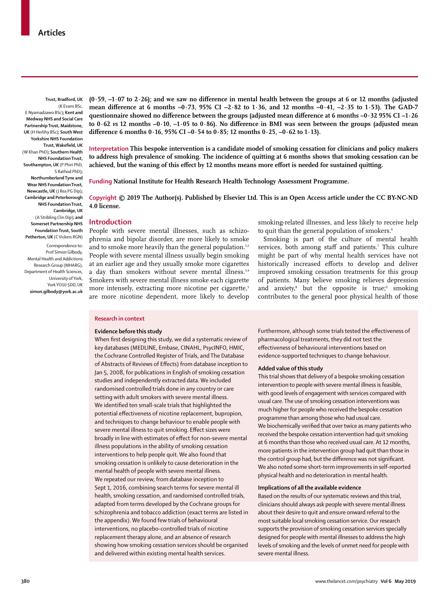**Trust, Bradford, UK** (K Evans BSc, E Nyamadzawo BSc)**; Kent and Medway NHS and Social Care Partnership Trust, Maidstone, UK** (H Herlihy BSc)**; South West Yorkshire NHS Foundation Trust, Wakefield, UK**  (W Khan PhD)**; Southern Health NHS Foundation Trust, Southampton, UK** (P Phiri PhD, S Rathod PhD)**; Northumberland Tyne and Wear NHS Foundation Trust, Newcastle, UK** (J Rea PG Dip)**; Cambridge and Peterborough NHS Foundation Trust, Cambridge, UK** (A Stribling Clin Dip)**; and Somerset Partnership NHS Foundation Trust, South Petherton, UK** (C Vickers RGN)

Correspondence to: Prof Simon Gilbody, Mental Health and Addictions Research Group (MHARG), Department of Health Sciences, University of York, York YO10 5DD, UK **simon.gilbody@york.ac.uk** **(0·59, –1·07 to 2·26); and we saw no difference in mental health between the groups at 6 or 12 months (adjusted mean difference at 6 months –0·73, 95% CI –2·82 to 1·36, and 12 months –0·41, –2·35 to 1·53). The GAD-7 questionnaire showed no difference between the groups (adjusted mean difference at 6 months –0·32 95% CI –1·26 to 0·62** *vs* **12 months –0·10, –1·05 to 0·86). No difference in BMI was seen between the groups (adjusted mean difference 6 months 0·16, 95% CI –0·54 to 0·85; 12 months 0·25, –0·62 to 1·13).**

**Interpretation This bespoke intervention is a candidate model of smoking cessation for clinicians and policy makers to address high prevalence of smoking. The incidence of quitting at 6 months shows that smoking cessation can be achieved, but the waning of this effect by 12 months means more effort is needed for sustained quitting.**

**Funding National Institute for Health Research Health Technology Assessment Programme.** 

**Copyright © 2019 The Author(s). Published by Elsevier Ltd. This is an Open Access article under the CC BY-NC-ND 4.0 license.**

#### **Introduction**

People with severe mental illnesses, such as schizophrenia and bipolar disorder, are more likely to smoke and to smoke more heavily than the general population.<sup>1,2</sup> People with severe mental illness usually begin smoking at an earlier age and they usually smoke more cigarettes a day than smokers without severe mental illness.<sup>3,4</sup> Smokers with severe mental illness smoke each cigarette more intensely, extracting more nicotine per cigarette,<sup>5</sup> are more nicotine dependent, more likely to develop

smoking-related illnesses, and less likely to receive help to quit than the general population of smokers.<sup>6</sup>

Smoking is part of the culture of mental health services, both among staff and patients.<sup>7</sup> This culture might be part of why mental health services have not historically increased efforts to develop and deliver improved smoking cessation treatments for this group of patients. Many believe smoking relieves depression and anxiety,<sup>8</sup> but the opposite is true;<sup>9</sup> smoking contributes to the general poor physical health of those

#### **Research in context**

#### **Evidence before this study**

When first designing this study, we did a systematic review of key databases (MEDLINE, Embase, CINAHL, PsycINFO, HMIC, the Cochrane Controlled Register of Trials, and The Database of Abstracts of Reviews of Effects) from database inception to Jan 5, 2008, for publications in English of smoking cessation studies and independently extracted data. We included randomised controlled trials done in any country or care setting with adult smokers with severe mental illness. We identified ten small-scale trials that highlighted the potential effectiveness of nicotine replacement, bupropion, and techniques to change behaviour to enable people with severe mental illness to quit smoking. Effect sizes were broadly in line with estimates of effect for non-severe mental illness populations in the ability of smoking cessation interventions to help people quit. We also found that smoking cessation is unlikely to cause deterioration in the mental health of people with severe mental illness. We repeated our review, from database inception to Sept 1, 2016, combining search terms for severe mental ill health, smoking cessation, and randomised controlled trials, adapted from terms developed by the Cochrane groups for schizophrenia and tobacco addiction (exact terms are listed in the appendix). We found few trials of behavioural interventions, no placebo-controlled trials of nicotine replacement therapy alone, and an absence of research showing how smoking cessation services should be organised and delivered within existing mental health services.

Furthermore, although some trials tested the effectiveness of pharmacological treatments, they did not test the effectiveness of behavioural interventions based on evidence-supported techniques to change behaviour.

#### **Added value of this study**

This trial shows that delivery of a bespoke smoking cessation intervention to people with severe mental illness is feasible, with good levels of engagement with services compared with usual care. The use of smoking cessation interventions was much higher for people who received the bespoke cessation programme than among those who had usual care. We biochemically verified that over twice as many patients who received the bespoke cessation intervention had quit smoking at 6 months than those who received usual care. At 12 months, more patients in the intervention group had quit than those in the control group had, but the difference was not significant. We also noted some short-term improvements in self-reported physical health and no deterioration in mental health.

#### **Implications of all the available evidence**

Based on the results of our systematic reviews and this trial, clinicians should always ask people with severe mental illness about their desire to quit and ensure onward referral to the most suitable local smoking cessation service. Our research supports the provision of smoking cessation services specially designed for people with mental illnesses to address the high levels of smoking and the levels of unmet need for people with severe mental illness.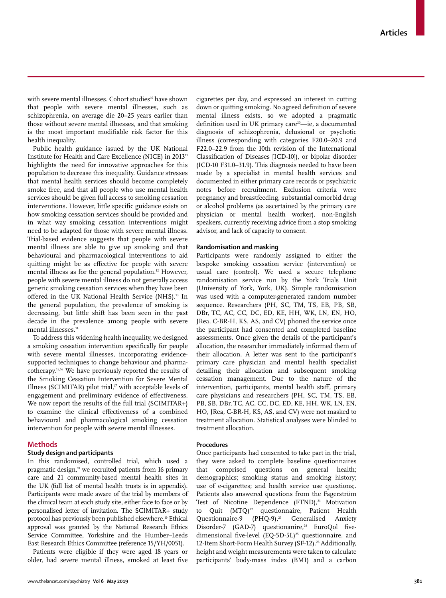with severe mental illnesses. Cohort studies<sup>10</sup> have shown that people with severe mental illnesses, such as schizophrenia, on average die 20–25 years earlier than those without severe mental illnesses, and that smoking is the most important modifiable risk factor for this health inequality.

Public health guidance issued by the UK National Institute for Health and Care Excellence (NICE) in 2013<sup>11</sup> highlights the need for innovative approaches for this population to decrease this inequality. Guidance stresses that mental health services should become completely smoke free, and that all people who use mental health services should be given full access to smoking cessation interventions. However, little specific guidance exists on how smoking cessation services should be provided and in what way smoking cessation interventions might need to be adapted for those with severe mental illness. Trial-based evidence suggests that people with severe mental illness are able to give up smoking and that behavioural and pharmacological interventions to aid quitting might be as effective for people with severe mental illness as for the general population.<sup>12</sup> However, people with severe mental illness do not generally access generic smoking cessation services when they have been offered in the UK National Health Service (NHS).<sup>13</sup> In the general population, the prevalence of smoking is decreasing, but little shift has been seen in the past decade in the prevalence among people with severe mental illnesses.<sup>14</sup>

To address this widening health inequality, we designed a smoking cessation intervention specifically for people with severe mental illnesses, incorporating evidencesupported techniques to change behaviour and pharmacotherapy.15,16 We have previously reported the results of the Smoking Cessation Intervention for Severe Mental Illness (SCIMITAR) pilot trial, $\mathbf{v}$  with acceptable levels of engagement and preliminary evidence of effectiveness. We now report the results of the full trial (SCIMITAR+) to examine the clinical effectiveness of a combined behavioural and pharmacological smoking cessation intervention for people with severe mental illnesses.

## **Methods**

## **Study design and participants**

In this randomised, controlled trial, which used a pragmatic design,<sup>18</sup> we recruited patients from 16 primary care and 21 community-based mental health sites in the UK (full list of mental health trusts is in appendix). Participants were made aware of the trial by members of the clinical team at each study site, either face to face or by personalised letter of invitation. The SCIMITAR+ study protocol has previously been published elsewhere.19 Ethical approval was granted by the National Research Ethics Service Committee, Yorkshire and the Humber–Leeds East Research Ethics Committee (reference 15/YH/0051).

Patients were eligible if they were aged 18 years or older, had severe mental illness, smoked at least five cigarettes per day, and expressed an interest in cutting down or quitting smoking. No agreed definition of severe mental illness exists, so we adopted a pragmatic definition used in UK primary care<sup>20</sup>—ie, a documented diagnosis of schizophrenia, delusional or psychotic illness (corresponding with categories F20.0–20.9 and F22.0–22.9 from the 10th revision of the International Classification of Diseases [ICD-10]), or bipolar disorder (ICD-10 F31.0–31.9). This diagnosis needed to have been made by a specialist in mental health services and documented in either primary care records or psychiatric notes before recruitment. Exclusion criteria were pregnancy and breastfeeding, substantial comorbid drug or alcohol problems (as ascertained by the primary care physician or mental health worker), non-English speakers, currently receiving advice from a stop smoking advisor, and lack of capacity to consent.

## **Randomisation and masking**

Participants were randomly assigned to either the bespoke smoking cessation service (intervention) or usual care (control). We used a secure telephone randomisation service run by the York Trials Unit (University of York, York, UK). Simple randomisation was used with a computer-generated random number sequence. Researchers (PH, SC, TM, TS, EB, PB, SB, DBr, TC, AC, CC, DC, ED, KE, HH, WK, LN, EN, HO, JRea, C-BR-H, KS, AS, and CV) phoned the service once the participant had consented and completed baseline assessments. Once given the details of the participant's allocation, the researcher immediately informed them of their allocation. A letter was sent to the participant's primary care physician and mental health specialist detailing their allocation and subsequent smoking cessation management. Due to the nature of the intervention, participants, mental health staff, primary care physicians and researchers (PH, SC, TM, TS, EB, PB, SB, DBr, TC, AC, CC, DC, ED, KE, HH, WK, LN, EN, HO, JRea, C-BR-H, KS, AS, and CV) were not masked to treatment allocation. Statistical analyses were blinded to treatment allocation.

### **Procedures**

Once participants had consented to take part in the trial, they were asked to complete baseline questionnaires that comprised questions on general health; demographics; smoking status and smoking history; use of e-cigarettes; and health service use questions;. Patients also answered questions from the Fagerström Test of Nicotine Dependence (FTND),<sup>21</sup> Motivation to Quit (MTQ)<sup>22</sup> questionnaire, Patient Health Questionnaire-9 (PHQ-9),23 Generalised Anxiety Disorder-7 (GAD-7) questionanire,<sup>24</sup> EuroQol fivedimensional five-level (EQ-5D-5L)<sup>25</sup> questionnaire, and 12-Item Short-Form Health Survey (SF-12).<sup>26</sup> Additionally, height and weight measurements were taken to calculate participants' body-mass index (BMI) and a carbon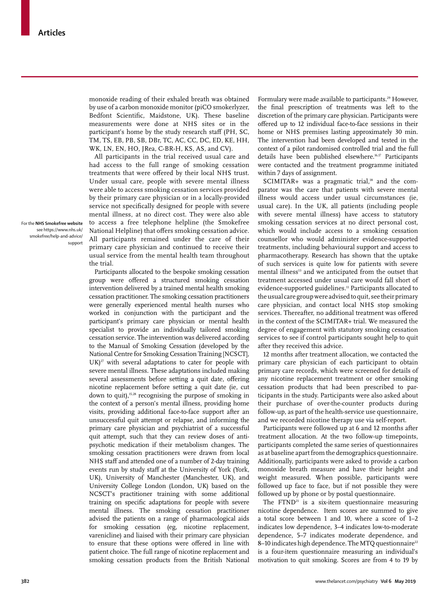monoxide reading of their exhaled breath was obtained by use of a carbon monoxide monitor (piCO smokerlyzer, Bedfont Scientific, Maidstone, UK). These baseline measurements were done at NHS sites or in the participant's home by the study research staff (PH, SC, TM, TS, EB, PB, SB, DBr, TC, AC, CC, DC, ED, KE, HH, WK, LN, EN, HO, JRea, C-BR-H, KS, AS, and CV).

All participants in the trial received usual care and had access to the full range of smoking cessation treatments that were offered by their local NHS trust. Under usual care, people with severe mental illness were able to access smoking cessation services provided by their primary care physician or in a locally-provided service not specifically designed for people with severe mental illness, at no direct cost. They were also able to access a free telephone helpline (the Smokefree National Helpline) that offers smoking cessation advice. All participants remained under the care of their primary care physician and continued to receive their usual service from the mental health team throughout the trial.

Participants allocated to the bespoke smoking cessation group were offered a structured smoking cessation intervention delivered by a trained mental health smoking cessation practitioner. The smoking cessation practitioners were generally experienced mental health nurses who worked in conjunction with the participant and the participant's primary care physician or mental health specialist to provide an individually tailored smoking cessation service. The intervention was delivered according to the Manual of Smoking Cessation (developed by the National Centre for Smoking Cessation Training [NCSCT],  $UK)^{27}$  with several adaptations to cater for people with severe mental illness. These adaptations included making several assessments before setting a quit date, offering nicotine replacement before setting a quit date (ie, cut down to quit),<sup>15,28</sup> recognising the purpose of smoking in the context of a person's mental illness, providing home visits, providing additional face-to-face support after an unsuccessful quit attempt or relapse, and informing the primary care physician and psychiatrist of a successful quit attempt, such that they can review doses of antipsychotic medication if their metabolism changes**.** The smoking cessation practitioners were drawn from local NHS staff and attended one of a number of 2-day training events run by study staff at the University of York (York, UK), University of Manchester (Manchester, UK), and University College London (London, UK) based on the NCSCT's practitioner training with some additional training on specific adaptations for people with severe mental illness. The smoking cessation practitioner advised the patients on a range of pharmacological aids for smoking cessation (eg, nicotine replacement, varenicline) and liaised with their primary care physician to ensure that these options were offered in line with patient choice. The full range of nicotine replacement and smoking cessation products from the British National

Formulary were made available to participants.<sup>29</sup> However, the final prescription of treatments was left to the discretion of the primary care physician. Participants were offered up to 12 individual face-to-face sessions in their home or NHS premises lasting approximately 30 min. The intervention had been developed and tested in the context of a pilot randomised controlled trial and the full details have been published elsewhere.<sup>16,17</sup> Participants were contacted and the treatment programme initiated within 7 days of assignment.

 $SCIMITAR+$  was a pragmatic trial,<sup>18</sup> and the comparator was the care that patients with severe mental illness would access under usual circumstances (ie, usual care). In the UK, all patients (including people with severe mental illness) have access to statutory smoking cessation services at no direct personal cost, which would include access to a smoking cessation counsellor who would administer evidence-supported treatments, including behavioural support and access to pharmacotherapy. Research has shown that the uptake of such services is quite low for patients with severe mental illness<sup>13</sup> and we anticipated from the outset that treatment accessed under usual care would fall short of evidence-supported guidelines.11 Participants allocated to the usual care group were advised to quit, see their primary care physician, and contact local NHS stop smoking services. Thereafter, no additional treatment was offered in the context of the SCIMITAR+ trial. We measured the degree of engagement with statutory smoking cessation services to see if control participants sought help to quit after they received this advice.

12 months after treatment allocation, we contacted the primary care physician of each participant to obtain primary care records, which were screened for details of any nicotine replacement treatment or other smoking cessation products that had been prescribed to participants in the study. Participants were also asked about their purchase of over-the-counter products during follow-up, as part of the health-service use questionnaire, and we recorded nicotine therapy use via self-report.

Participants were followed up at 6 and 12 months after treatment allocation. At the two follow-up timepoints, participants completed the same series of questionnaires as at baseline apart from the demographics questionnaire. Additionally, participants were asked to provide a carbon monoxide breath measure and have their height and weight measured. When possible, participants were followed up face to face, but if not possible they were followed up by phone or by postal questionnaire.

The FTND<sup>21</sup> is a six-item questionnaire measuring nicotine dependence. Item scores are summed to give a total score between 1 and 10, where a score of 1–2 indicates low dependence, 3–4 indicates low-to-moderate dependence, 5–7 indicates moderate dependence, and 8–10 indicates high dependence. The MTO questionnaire $^{22}$ is a four-item questionnaire measuring an individual's motivation to quit smoking. Scores are from 4 to 19 by

For the **NHS Smokefree website**  see https://www.nhs.uk/ smokefree/help-and-advice/ support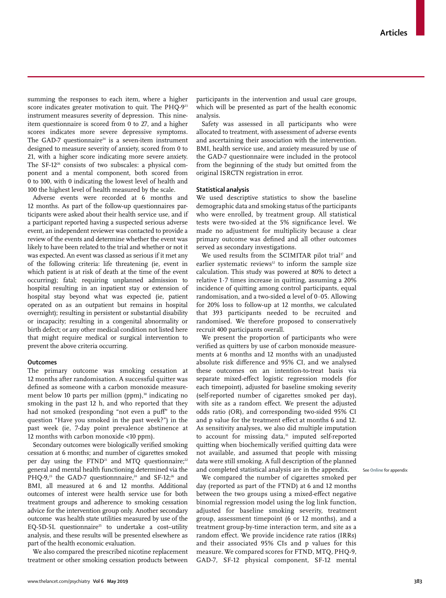summing the responses to each item, where a higher score indicates greater motivation to quit. The PHQ-9<sup>23</sup> instrument measures severity of depression. This nineitem questionnaire is scored from 0 to 27, and a higher scores indicates more severe depressive symptoms. The GAD-7 questionnaire<sup>24</sup> is a seven-item instrument designed to measure severity of anxiety, scored from 0 to 21, with a higher score indicating more severe anxiety. The SF-1226 consists of two subscales: a physical component and a mental component, both scored from 0 to 100, with 0 indicating the lowest level of health and 100 the highest level of health measured by the scale.

Adverse events were recorded at 6 months and 12 months. As part of the follow-up questionnaires participants were asked about their health service use, and if a participant reported having a suspected serious adverse event, an independent reviewer was contacted to provide a review of the events and determine whether the event was likely to have been related to the trial and whether or not it was expected. An event was classed as serious if it met any of the following criteria: life threatening (ie, event in which patient is at risk of death at the time of the event occurring); fatal; requiring unplanned admission to hospital resulting in an inpatient stay or extension of hospital stay beyond what was expected (ie, patient operated on as an outpatient but remains in hospital overnight); resulting in persistent or substantial disability or incapacity; resulting in a congenital abnormality or birth defect; or any other medical condition not listed here that might require medical or surgical intervention to prevent the above criteria occurring.

## **Outcomes**

The primary outcome was smoking cessation at 12 months after randomisation. A successful quitter was defined as someone with a carbon monoxide measurement below 10 parts per million (ppm),<sup>30</sup> indicating no smoking in the past 12 h, and who reported that they had not smoked (responding "not even a puff" to the question "Have you smoked in the past week?") in the past week (ie, 7-day point prevalence abstinence at 12 months with carbon monoxide <10 ppm).

Secondary outcomes were biologically verified smoking cessation at 6 months; and number of cigarettes smoked per day using the  $FTND<sup>21</sup>$  and MTQ questionnaire;<sup>22</sup> general and mental health functioning determined via the PHQ-9,<sup>23</sup> the GAD-7 questionnnaire,<sup>24</sup> and SF-12;<sup>26</sup> and BMI, all measured at 6 and 12 months. Additional outcomes of interest were health service use for both treatment groups and adherence to smoking cessation advice for the intervention group only. Another secondary outcome was health state utilities measured by use of the EQ-5D-5L questionnaire<sup>25</sup> to undertake a cost-utility analysis, and these results will be presented elsewhere as part of the health economic evaluation.

We also compared the prescribed nicotine replacement treatment or other smoking cessation products between participants in the intervention and usual care groups, which will be presented as part of the health economic analysis.

Safety was assessed in all participants who were allocated to treatment, with assessment of adverse events and ascertaining their association with the intervention. BMI, health service use, and anxiety measured by use of the GAD-7 questionnaire were included in the protocol from the beginning of the study but omitted from the original ISRCTN registration in error.

#### **Statistical analysis**

We used descriptive statistics to show the baseline demographic data and smoking status of the participants who were enrolled, by treatment group. All statistical tests were two-sided at the 5% significance level. We made no adjustment for multiplicity because a clear primary outcome was defined and all other outcomes served as secondary investigations.

We used results from the SCIMITAR pilot trial<sup>17</sup> and earlier systematic reviews<sup>12</sup> to inform the sample size calculation. This study was powered at 80% to detect a relative 1·7 times increase in quitting, assuming a 20% incidence of quitting among control participants, equal randomisation, and a two-sided α level of 0·05. Allowing for 20% loss to follow-up at 12 months, we calculated that 393 participants needed to be recruited and randomised. We therefore proposed to conservatively recruit 400 participants overall.

We present the proportion of participants who were verified as quitters by use of carbon monoxide measurements at 6 months and 12 months with an unadjusted absolute risk difference and 95% CI, and we analysed these outcomes on an intention-to-treat basis via separate mixed-effect logistic regression models (for each timepoint), adjusted for baseline smoking severity (self-reported number of cigarettes smoked per day), with site as a random effect. We present the adjusted odds ratio (OR), and corresponding two-sided 95% CI and p value for the treatment effect at months 6 and 12. As sensitivity analyses, we also did multiple imputation to account for missing data,<sup>31</sup> imputed self-reported quitting when biochemically verified quitting data were not available, and assumed that people with missing data were still smoking. A full description of the planned and completed statistical analysis are in the appendix.

We compared the number of cigarettes smoked per day (reported as part of the FTND) at 6 and 12 months between the two groups using a mixed-effect negative binomial regression model using the log link function, adjusted for baseline smoking severity, treatment group, assessment timepoint (6 or 12 months), and a treatment group-by-time interaction term, and site as a random effect. We provide incidence rate ratios (IRRs) and their associated 95% CIs and p values for this measure. We compared scores for FTND, MTQ, PHQ-9, GAD-7, SF-12 physical component, SF-12 mental

See **Online** for appendix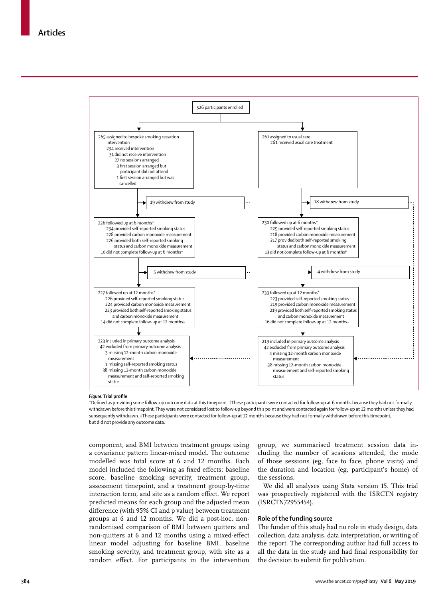

### *Figure:* **Trial profile**

\*Defined as providing some follow-up outcome data at this timepoint. †These participants were contacted for follow-up at 6 months because they had not formally withdrawn before this timepoint. They were not considered lost to follow-up beyond this point and were contacted again for follow-up at 12 months unless they had subsequently withdrawn. ‡These participants were contacted for follow-up at 12 months because they had not formally withdrawn before this timepoint, but did not provide any outcome data.

component, and BMI between treatment groups using a covariance pattern linear-mixed model. The outcome modelled was total score at 6 and 12 months. Each model included the following as fixed effects: baseline score, baseline smoking severity, treatment group, assessment timepoint, and a treatment group-by-time interaction term, and site as a random effect. We report predicted means for each group and the adjusted mean difference (with 95% CI and p value) between treatment groups at 6 and 12 months. We did a post-hoc, nonrandomised comparison of BMI between quitters and non-quitters at 6 and 12 months using a mixed-effect linear model adjusting for baseline BMI, baseline smoking severity, and treatment group, with site as a random effect. For participants in the intervention group, we summarised treatment session data including the number of sessions attended, the mode of those sessions (eg, face to face, phone visits) and the duration and location (eg, participant's home) of the sessions.

We did all analyses using Stata version 15. This trial was prospectively registered with the ISRCTN registry (ISRCTN72955454).

## **Role of the funding source**

The funder of this study had no role in study design, data collection, data analysis, data interpretation, or writing of the report. The corresponding author had full access to all the data in the study and had final responsibility for the decision to submit for publication.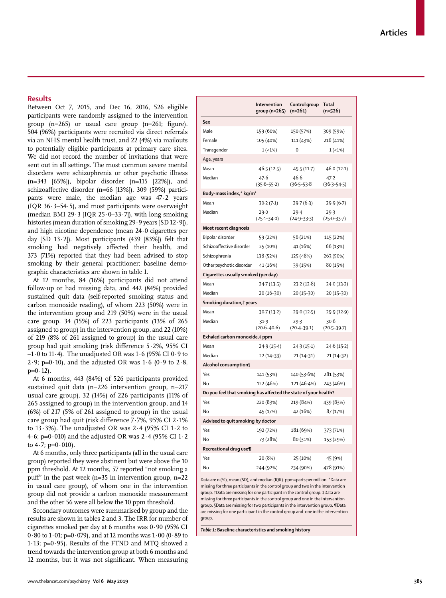## **Results**

Between Oct 7, 2015, and Dec 16, 2016, 526 eligible participants were randomly assigned to the intervention group (n=265) or usual care group (n=261; figure). 504 (96%) participants were recruited via direct referrals via an NHS mental health trust, and 22 (4%) via mailouts to potentially eligible participants at primary care sites. We did not record the number of invitations that were sent out in all settings. The most common severe mental disorders were schizophrenia or other psychotic illness (n=343 [65%]), bipolar disorder (n=115 [22%]), and schizoaffective disorder (n=66 [13%]). 309 (59%) participants were male, the median age was 47·2 years (IQR  $36.3-54.5$ ), and most participants were overweight (median BMI 29 $\cdot$ 3 [IQR 25 $\cdot$ 0-33 $\cdot$ 7]), with long smoking histories (mean duration of smoking 29 · 9 years [SD 12 · 9]), and high nicotine dependence (mean 24·0 cigarettes per day  $[SD 13.2]$ ). Most participants  $(439 83\%)$  felt that smoking had negatively affected their health, and 373 (71%) reported that they had been advised to stop smoking by their general practitioner; baseline demographic characteristics are shown in table 1.

At 12 months, 84 (16%) participants did not attend follow-up or had missing data, and 442 (84%) provided sustained quit data (self-reported smoking status and carbon monoxide reading), of whom 223 (50%) were in the intervention group and 219 (50%) were in the usual care group. 34 (15%) of 223 participants (13% of 265 assigned to group) in the intervention group, and 22 (10%) of 219 (8% of 261 assigned to group) in the usual care group had quit smoking (risk difference 5·2%, 95% CI  $-1.0$  to 11 $\cdot$ 4). The unadjusted OR was 1 $\cdot$  6 (95% CI 0 $\cdot$ 9 to 2.9; p=0.10), and the adjusted OR was  $1.6$  (0.9 to  $2.8$ ,  $p=0.12$ ).

At 6 months, 443 (84%) of 526 participants provided sustained quit data (n=226 intervention group, n=217 usual care group). 32 (14%) of 226 participants (11% of 265 assigned to group) in the intervention group, and 14 (6%) of 217 (5% of 261 assigned to group) in the usual care group had quit (risk difference 7·7%, 95% CI 2·1% to  $13.3\%$ ). The unadjusted OR was  $2.4$  (95% CI  $1.2$  to 4.6; p=0.010) and the adjusted OR was  $2.4$  (95% CI  $1.2$ ) to  $4.7$ ;  $p=0.010$ ).

At 6 months, only three participants (all in the usual care group) reported they were abstinent but were above the 10 ppm threshold. At 12 months, 57 reported "not smoking a puff" in the past week (n=35 in intervention group, n=22 in usual care group), of whom one in the intervention group did not provide a carbon monoxide measurement and the other 56 were all below the 10 ppm threshold.

Secondary outcomes were summarised by group and the results are shown in tables 2 and 3. The IRR for number of cigarettes smoked per day at 6 months was 0·90 (95% CI 0·80 to 1·01; p=0·079), and at 12 months was 1·00 (0·89 to 1·13; p=0·95). Results of the FTND and MTQ showed a trend towards the intervention group at both 6 months and 12 months, but it was not significant. When measuring

|                                     | Intervention<br>group (n=265)                                   | Control group<br>$(n=261)$ | Total<br>$(n=526)$      |  |  |  |
|-------------------------------------|-----------------------------------------------------------------|----------------------------|-------------------------|--|--|--|
| Sex                                 |                                                                 |                            |                         |  |  |  |
| Male                                | 159 (60%)                                                       | 150 (57%)                  | 309 (59%)               |  |  |  |
| Female                              | 105 (40%)                                                       | 111 (43%)                  | 216 (41%)               |  |  |  |
| Transgender                         | $1(-1%)$                                                        | $\mathbf 0$                | 1(1%                    |  |  |  |
| Age, years                          |                                                                 |                            |                         |  |  |  |
| Mean                                | 46.5(12.5)                                                      | 45.5 (11.7)                | 46.0(12.1)              |  |  |  |
| Median                              | 47.6<br>$(35.6 - 55.2)$                                         | 46.6<br>$(36.5 - 53.8)$    | 47.2<br>$(36.3 - 54.5)$ |  |  |  |
| Body-mass index,* kg/m <sup>2</sup> |                                                                 |                            |                         |  |  |  |
| Mean                                | 30.2(7.1)                                                       | 29.7(6.3)                  | 29.9 (6.7)              |  |  |  |
| Median                              | 29.0<br>$(25.1 - 34.0)$                                         | 29.4<br>$(24.9 - 33.3)$    | 29.3<br>$(25.0 - 33.7)$ |  |  |  |
| Most recent diagnosis               |                                                                 |                            |                         |  |  |  |
| Bipolar disorder                    | 59 (22%)                                                        | 56 (21%)                   | 115 (22%)               |  |  |  |
| Schizoaffective disorder            | 25 (10%)                                                        | 41 (16%)                   | 66 (13%)                |  |  |  |
| Schizophrenia                       | 138 (52%)                                                       | 125 (48%)                  | 263 (50%)               |  |  |  |
| Other psychotic disorder            | 41 (16%)                                                        | 39 (15%)                   | 80 (15%)                |  |  |  |
| Cigarettes usually smoked (per day) |                                                                 |                            |                         |  |  |  |
| Mean                                | 24.7 (13.5)                                                     | 23.2(12.8)                 | 24.0 (13.2)             |  |  |  |
| Median                              | 20 (16-30)                                                      | 20 (15-30)                 | 20 (15-30)              |  |  |  |
| Smoking duration, † years           |                                                                 |                            |                         |  |  |  |
| Mean                                | 30.7(13.2)                                                      | 29.0 (12.5)                | 29.9 (12.9)             |  |  |  |
| Median                              | 31.9<br>$(20.6 - 40.6)$                                         | 29.3<br>$(20.4 - 39.1)$    | 30.6<br>$(20.5 - 39.7)$ |  |  |  |
| Exhaled carbon monoxide,‡ ppm       |                                                                 |                            |                         |  |  |  |
| Mean                                | 24.9(15.4)                                                      | 24.3(15.1)                 | 24.6(15.2)              |  |  |  |
| Median                              | 22 (14-33)                                                      | $21(14-31)$                | 21 (14-32)              |  |  |  |
| Alcohol consumption§                |                                                                 |                            |                         |  |  |  |
| Yes                                 | 141 (53%)                                                       | 140 (53.6%)                | 281 (53%)               |  |  |  |
| No                                  | 122 (46%)                                                       | 121 (46.4%)                | 243 (46%)               |  |  |  |
|                                     | Do you feel that smoking has affected the state of your health? |                            |                         |  |  |  |
| Yes                                 | 220 (83%)                                                       | 219 (84%)                  | 439 (83%)               |  |  |  |
| No                                  | 45 (17%)                                                        | 42 (16%)                   | 87 (17%)                |  |  |  |
| Advised to quit smoking by doctor   |                                                                 |                            |                         |  |  |  |
| Yes                                 | 192 (72%)                                                       | 181 (69%)                  | 373 (71%)               |  |  |  |
| No                                  | 73 (28%)                                                        | 80 (31%)                   | 153 (29%)               |  |  |  |
| Recreational drug use¶              |                                                                 |                            |                         |  |  |  |
| Yes                                 | 20 (8%)                                                         | 25 (10%)                   | 45 (9%)                 |  |  |  |
| No                                  | 244 (92%)                                                       | 234 (90%)                  | 478 (91%)               |  |  |  |
|                                     |                                                                 |                            |                         |  |  |  |

Data are n (%), mean (SD), and median (IQR). ppm=parts per million. \*Data are missing for three participants in the control group and two in the intervention group. †Data are missing for one participant in the control group. ‡Data are missing for three participants in the control group and one in the intervention group. §Data are missing for two participants in the intervention group. ¶Data are missing for one participant in the control group and one in the intervention group.

*Table 1:* **Baseline characteristics and smoking history**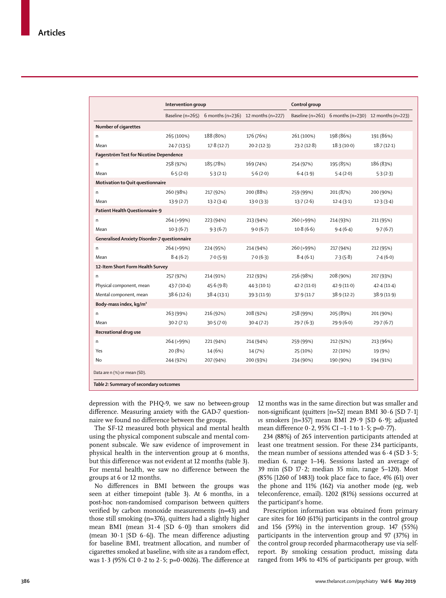|                                              | <b>Intervention group</b> |                                                     |             | Control group |                                                     |             |
|----------------------------------------------|---------------------------|-----------------------------------------------------|-------------|---------------|-----------------------------------------------------|-------------|
|                                              |                           | Baseline (n=265) 6 months (n=236) 12 months (n=227) |             |               | Baseline (n=261) 6 months (n=230) 12 months (n=223) |             |
| Number of cigarettes                         |                           |                                                     |             |               |                                                     |             |
| n                                            | 265 (100%)                | 188 (80%)                                           | 176 (76%)   | 261 (100%)    | 198 (86%)                                           | 191 (86%)   |
| Mean                                         | 24.7(13.5)                | 17.8(12.7)                                          | 20.2(12.3)  | 23.2(12.8)    | 18.3(10.0)                                          | 18.7(12.1)  |
| Fagerström Test for Nicotine Dependence      |                           |                                                     |             |               |                                                     |             |
| n                                            | 258 (97%)                 | 185 (78%)                                           | 169 (74%)   | 254 (97%)     | 195 (85%)                                           | 186 (83%)   |
| Mean                                         | 6.5(2.0)                  | 5.3(2.1)                                            | 5.6(2.0)    | 6.4(1.9)      | 5.4(2.0)                                            | 5.3(2.3)    |
| Motivation to Quit questionnaire             |                           |                                                     |             |               |                                                     |             |
| n                                            | 260 (98%)                 | 217 (92%)                                           | 200 (88%)   | 259 (99%)     | 201 (87%)                                           | 200 (90%)   |
| Mean                                         | 13.9(2.7)                 | 13.2(3.4)                                           | 13.0(3.3)   | 13.7(2.6)     | 12.4(3.1)                                           | 12.3(3.4)   |
| Patient Health Questionnaire-9               |                           |                                                     |             |               |                                                     |             |
| n                                            | 264 (>99%)                | 223 (94%)                                           | 213 (94%)   | 260 (>99%)    | 214 (93%)                                           | 211 (95%)   |
| Mean                                         | $10-3(6-7)$               | 9.3(6.7)                                            | 9.0(6.7)    | 10.8(6.6)     | 9.4(6.4)                                            | 9.7(6.7)    |
| Generalised Anxiety Disorder-7 questionnaire |                           |                                                     |             |               |                                                     |             |
| n.                                           | 264 (>99%)                | 224 (95%)                                           | 214 (94%)   | 260 (>99%)    | 217 (94%)                                           | 212 (95%)   |
| Mean                                         | 8.4(6.2)                  | 7.0(5.9)                                            | 7.0(6.3)    | 8.4(6.1)      | 7.3(5.8)                                            | 7.4(6.0)    |
| 12-Item Short Form Health Survey             |                           |                                                     |             |               |                                                     |             |
| n.                                           | 257 (97%)                 | 214 (91%)                                           | 212 (93%)   | 256 (98%)     | 208 (90%)                                           | 207 (93%)   |
| Physical component, mean                     | 43.7(10.4)                | 45.6(9.8)                                           | 44.3(10.1)  | 42.2(11.0)    | 42.9(11.0)                                          | 42.4(11.4)  |
| Mental component, mean                       | 38.6(12.6)                | 38.4(13.1)                                          | 39.3 (11.9) | 37.9 (11.7)   | 38.9(12.2)                                          | 38.9 (11.9) |
| Body-mass index, kg/m <sup>2</sup>           |                           |                                                     |             |               |                                                     |             |
| n.                                           | 263 (99%)                 | 216 (92%)                                           | 208 (92%)   | 258 (99%)     | 205 (89%)                                           | 201 (90%)   |
| Mean                                         | 30.2(7.1)                 | 30.5(7.0)                                           | 30.4(7.2)   | 29.7(6.3)     | 29.9(6.0)                                           | 29.7(6.7)   |
| Recreational drug use                        |                           |                                                     |             |               |                                                     |             |
| n                                            | 264 (>99%)                | 221 (94%)                                           | 214 (94%)   | 259 (99%)     | 212 (92%)                                           | 213 (96%)   |
| Yes                                          | 20 (8%)                   | 14 (6%)                                             | 14 (7%)     | 25 (10%)      | 22 (10%)                                            | 19 (9%)     |
| No                                           | 244 (92%)                 | 207 (94%)                                           | 200 (93%)   | 234 (90%)     | 190 (90%)                                           | 194 (91%)   |
| Data are n (%) or mean (SD).                 |                           |                                                     |             |               |                                                     |             |
| Table 2: Summary of secondary outcomes       |                           |                                                     |             |               |                                                     |             |

depression with the PHQ-9, we saw no between-group difference. Measuring anxiety with the GAD-7 questionnaire we found no difference between the groups.

The SF-12 measured both physical and mental health using the physical component subscale and mental component subscale. We saw evidence of improvement in physical health in the intervention group at 6 months, but this difference was not evident at 12 months (table 3). For mental health, we saw no difference between the groups at 6 or 12 months.

No differences in BMI between the groups was seen at either timepoint (table 3). At 6 months, in a post-hoc non-randomised comparison between quitters verified by carbon monoxide measurements (n=43) and those still smoking (n=376), quitters had a slightly higher mean BMI (mean 31·4 [SD 6·0]) than smokers did (mean  $30.1$  [SD  $6.6$ ]). The mean difference adjusting for baseline BMI, treatment allocation, and number of cigarettes smoked at baseline, with site as a random effect, was  $1·3$  (95% CI  $0·2$  to  $2·5$ ; p=0 $·0026$ ). The difference at 12 months was in the same direction but was smaller and non-significant (quitters [n=52] mean BMI 30·6 [SD 7·1] *vs* smokers [n=357] mean BMI 29·9 [SD 6·9]; adjusted mean difference  $0.2$ , 95% CI  $-1.1$  to  $1.5$ ; p=0.77).

234 (88%) of 265 intervention participants attended at least one treatment session. For these 234 participants, the mean number of sessions attended was 6·4 (SD 3·5; median 6, range 1–14). Sessions lasted an average of 39 min (SD 17·2; median 35 min, range 5–120). Most (85% [1260 of 1483]) took place face to face, 4% (61) over the phone and 11% (162) via another mode (eg, web teleconference, email). 1202 (81%) sessions occurred at the participant's home.

Prescription information was obtained from primary care sites for 160 (61%) participants in the control group and 156 (59%) in the intervention group. 147 (55%) participants in the intervention group and 97 (37%) in the control group recorded pharmacotherapy use via selfreport. By smoking cessation product, missing data ranged from 14% to 41% of participants per group, with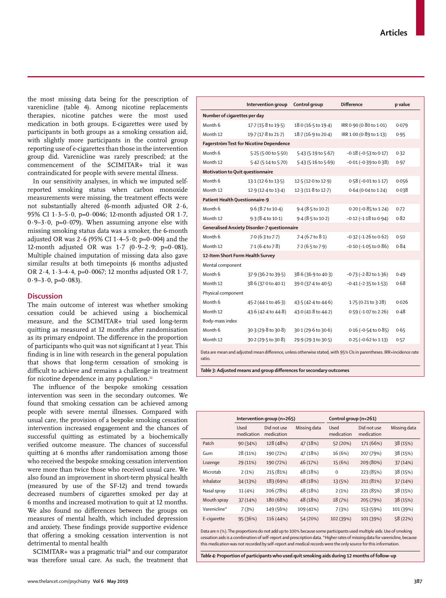www.thelancet.com/psychiatry **Vol 6 May 2019 387**

the most missing data being for the prescription of varenicline (table 4). Among nicotine replacements therapies, nicotine patches were the most used medication in both groups. E-cigarettes were used by participants in both groups as a smoking cessation aid, with slightly more participants in the control group reporting use of e-cigarettes than those in the intervention group did. Varenicline was rarely prescribed; at the commencement of the SCIMITAR+ trial it was contraindicated for people with severe mental illness.

In our sensitivity analyses, in which we imputed selfreported smoking status when carbon monoxide measurements were missing, the treatment effects were not substantially altered (6-month adjusted OR 2·6, 95% CI 1·3–5·0, p=0·0046; 12-month adjusted OR 1·7,  $0.9-3.0$ ,  $p=0.079$ . When assuming anyone else with missing smoking status data was a smoker, the 6-month adjusted OR was 2 $\cdot$  6 (95% CI 1 $\cdot$  4-5 $\cdot$ 0; p=0 $\cdot$ 004) and the 12-month adjusted OR was  $1.7$  (0.9–2.9; p=0.081). Multiple chained imputation of missing data also gave similar results at both timepoints (6 months adjusted OR 2·4, 1·3–4·4, p=0·0067; 12 months adjusted OR 1·7,  $0.9-3.0$ , p= $0.083$ ).

## **Discussion**

The main outcome of interest was whether smoking cessation could be achieved using a biochemical measure, and the SCIMITAR+ trial used long-term quitting as measured at 12 months after randomisation as its primary endpoint. The difference in the proportion of participants who quit was not significant at 1 year. This finding is in line with research in the general population that shows that long-term cessation of smoking is difficult to achieve and remains a challenge in treatment for nicotine dependence in any population.<sup>32</sup>

The influence of the bespoke smoking cessation intervention was seen in the secondary outcomes. We found that smoking cessation can be achieved among people with severe mental illnesses. Compared with usual care, the provision of a bespoke smoking cessation intervention increased engagement and the chances of successful quitting as estimated by a biochemically verified outcome measure. The chances of successful quitting at 6 months after randomisation among those who received the bespoke smoking cessation intervention were more than twice those who received usual care. We also found an improvement in short-term physical health (measured by use of the SF-12) and trend towards decreased numbers of cigarettes smoked per day at 6 months and increased motivation to quit at 12 months. We also found no differences between the groups on measures of mental health, which included depression and anxiety. These findings provide supportive evidence that offering a smoking cessation intervention is not detrimental to mental health

SCIMITAR+ was a pragmatic trial<sup>18</sup> and our comparator was therefore usual care. As such, the treatment that

|                                                                                                                      | Intervention group  | Control group       | <b>Difference</b>             | p value |  |
|----------------------------------------------------------------------------------------------------------------------|---------------------|---------------------|-------------------------------|---------|--|
| Number of cigarettes per day                                                                                         |                     |                     |                               |         |  |
| Month 6                                                                                                              | 17.7 (15.8 to 19.5) | 18.0 (16.5 to 19.4) | IRR 0.90 (0.80 to 1.01)       | 0.079   |  |
| Month 12                                                                                                             | 19.7 (17.8 to 21.7) | 18.7 (16.9 to 20.4) | IRR 1.00 (0.89 to 1.13)       | 0.95    |  |
| Fagerström Test for Nicotine Dependence                                                                              |                     |                     |                               |         |  |
| Month 6                                                                                                              | 5.25 (5.00 to 5.50) | 5.43 (5.19 to 5.67) | $-0.18$ ( $-0.53$ to $0.17$ ) | 0.32    |  |
| Month 12                                                                                                             | 5.42 (5.14 to 5.70) | 5.43 (5.16 to 5.69) | $-0.01$ ( $-0.39$ to $0.38$ ) | 0.97    |  |
| Motivation to Quit questionnaire                                                                                     |                     |                     |                               |         |  |
| Month 6                                                                                                              | 13.1 (12.6 to 13.5) | 12.5 (12.0 to 12.9) | 0.58 (-0.01 to 1.17)          | 0.056   |  |
| Month 12                                                                                                             | 12.9 (12.4 to 13.4) | 12.3 (11.8 to 12.7) | 0.64 (0.04 to 1.24)           | 0.038   |  |
| Patient Health Questionnaire-9                                                                                       |                     |                     |                               |         |  |
| Month 6                                                                                                              | 9.6 (8.7 to 10.4)   | 9.4 (8.5 to 10.2)   | 0.20 (-0.85 to 1.24)          | 0.72    |  |
| Month 12                                                                                                             | 9.3 (8.4 to 10.1)   | 9.4 (8.5 to 10.2)   | $-0.12$ ( $-1.18$ to $0.94$ ) | 0.82    |  |
| Generalised Anxiety Disorder-7 questionnaire                                                                         |                     |                     |                               |         |  |
| Month 6                                                                                                              | 7.0 (6.3 to 7.7)    | 7.4 (6.7 to 8.1)    | $-0.32$ ( $-1.26$ to $0.62$ ) | 0.50    |  |
| Month 12                                                                                                             | 7.1 (6.4 to 7.8)    | 7.2 (6.5 to 7.9)    | $-0.10$ ( $-1.05$ to $0.86$ ) | 0.84    |  |
| 12-Item Short Form Health Survey                                                                                     |                     |                     |                               |         |  |
| Mental component                                                                                                     |                     |                     |                               |         |  |
| Month 6                                                                                                              | 37.9 (36.2 to 39.5) | 38.6 (36.9 to 40.3) | $-0.73$ ( $-2.82$ to $1.36$ ) | 0.49    |  |
| Month 12                                                                                                             | 38.6 (37.0 to 40.1) | 39.0 (37.4 to 40.5) | $-0.41$ ( $-2.35$ to $1.53$ ) | 0.68    |  |
| Physical component                                                                                                   |                     |                     |                               |         |  |
| Month 6                                                                                                              | 45.2 (44.1 to 46.3) | 43.5 (42.4 to 44.6) | 1.75 (0.21 to 3.28)           | 0.026   |  |
| Month 12                                                                                                             | 43.6 (42.4 to 44.8) | 43.0 (41.8 to 44.2) | 0.59 (-1.07 to 2.26)          | 0.48    |  |
| Body-mass index                                                                                                      |                     |                     |                               |         |  |
| Month 6                                                                                                              | 30.3 (29.8 to 30.8) | 30.1 (29.6 to 30.6) | $0.16$ (-0.54 to $0.85$ )     | 0.65    |  |
| Month 12                                                                                                             | 30.2 (29.5 to 30.8) | 29.9 (29.3 to 30.5) | 0.25 (-0.62 to 1.13)          | 0.57    |  |
| Data are mean and adjusted mean difference, unless otherwise stated, with 95% CIs in parentheses. IRR=incidence rate |                     |                     |                               |         |  |

ratio.

*Table 3:* **Adjusted means and group differences for secondary outcomes**

|              | Intervention group (n=265) |                           | Control group (n=261) |                    |                           |              |
|--------------|----------------------------|---------------------------|-----------------------|--------------------|---------------------------|--------------|
|              | Used<br>medication         | Did not use<br>medication | Missing data          | Used<br>medication | Did not use<br>medication | Missing data |
| Patch        | 90 (34%)                   | 128 (48%)                 | 47 (18%)              | 52 (20%)           | 171 (66%)                 | 38 (15%)     |
| Gum          | 28 (11%)                   | 190 (72%)                 | 47 (18%)              | 16 (6%)            | 207 (79%)                 | 38 (15%)     |
| Lozenge      | 29 (11%)                   | 190 (72%)                 | 46 (17%)              | 15 (6%)            | 209 (80%)                 | 37 (14%)     |
| Microtab     | 2(1%)                      | 215 (81%)                 | 48 (18%)              | $\mathbf 0$        | 223 (85%)                 | 38 (15%)     |
| Inhalator    | 34 (13%)                   | 183 (69%)                 | 48 (18%)              | 13 (5%)            | 211 (81%)                 | 37 (14%)     |
| Nasal spray  | 11(4%)                     | 206 (78%)                 | 48 (18%)              | 2(1%)              | 221 (85%)                 | 38 (15%)     |
| Mouth spray  | 37 (14%)                   | 180 (68%)                 | 48 (18%)              | 18 (7%)            | 205 (79%)                 | 38 (15%)     |
| Varenicline* | 7(3%)                      | 149 (56%)                 | 109 (41%)             | 7(3%)              | 153 (59%)                 | 101 (39%)    |
| E-cigarette  | 95 (36%)                   | 116 (44%)                 | 54 (20%)              | 102 (39%)          | 101 (39%)                 | 58 (22%)     |

Data are n (%). The proportions do not add up to 100% because some participants used multiple aids. Use of smoking cessation aids is a combination of self-report and prescription data. \*Higher rates of missing data for varenicline, because this medication was not recorded by self-report and medical records were the only source for this information.

*Table 4:* **Proportion of participants who used quit smoking aids during 12 months of follow-up**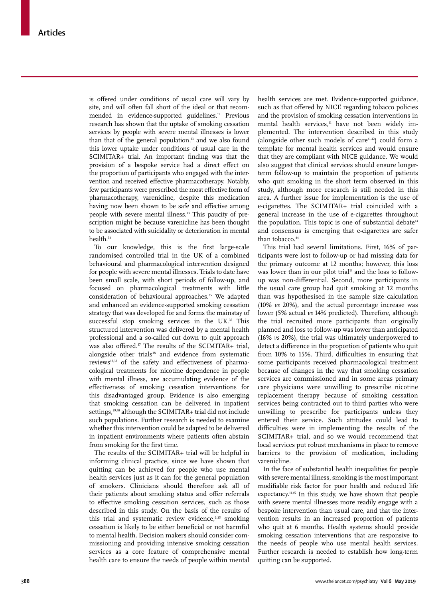is offered under conditions of usual care will vary by site, and will often fall short of the ideal or that recommended in evidence-supported guidelines.<sup>11</sup> Previous research has shown that the uptake of smoking cessation services by people with severe mental illnesses is lower than that of the general population,<sup>13</sup> and we also found this lower uptake under conditions of usual care in the SCIMITAR+ trial. An important finding was that the provision of a bespoke service had a direct effect on the proportion of participants who engaged with the intervention and received effective pharmacotherapy. Notably, few participants were prescribed the most effective form of pharmacotherapy, varenicline, despite this medication having now been shown to be safe and effective among people with severe mental illness.<sup>33</sup> This paucity of prescription might be because varenicline has been thought to be associated with suicidality or deterioration in mental health.34

To our knowledge, this is the first large-scale randomised controlled trial in the UK of a combined behavioural and pharmacological intervention designed for people with severe mental illnesses. Trials to date have been small scale, with short periods of follow-up, and focused on pharmacological treatments with little consideration of behavioural approaches.<sup>35</sup> We adapted and enhanced an evidence-supported smoking cessation strategy that was developed for and forms the mainstay of successful stop smoking services in the UK.<sup>36</sup> This structured intervention was delivered by a mental health professional and a so-called cut down to quit approach was also offered.<sup>37</sup> The results of the SCIMITAR+ trial, alongside other trials<sup>38</sup> and evidence from systematic reviews<sup>12,33</sup> of the safety and effectiveness of pharmacological treatments for nicotine dependence in people with mental illness, are accumulating evidence of the effectiveness of smoking cessation interventions for this disadvantaged group. Evidence is also emerging that smoking cessation can be delivered in inpatient settings,<sup>39,40</sup> although the SCIMITAR+ trial did not include such populations. Further research is needed to examine whether this intervention could be adapted to be delivered in inpatient environments where patients often abstain from smoking for the first time.

The results of the SCIMITAR+ trial will be helpful in informing clinical practice, since we have shown that quitting can be achieved for people who use mental health services just as it can for the general population of smokers. Clinicians should therefore ask all of their patients about smoking status and offer referrals to effective smoking cessation services, such as those described in this study. On the basis of the results of this trial and systematic review evidence,<sup>9,35</sup> smoking cessation is likely to be either beneficial or not harmful to mental health. Decision makers should consider commissioning and providing intensive smoking cessation services as a core feature of comprehensive mental health care to ensure the needs of people within mental health services are met. Evidence-supported guidance, such as that offered by NICE regarding tobacco policies and the provision of smoking cessation interventions in mental health services,<sup>11</sup> have not been widely implemented. The intervention described in this study (alongside other such models of care $41,42$ ) could form a template for mental health services and would ensure that they are compliant with NICE guidance. We would also suggest that clinical services should ensure longerterm follow-up to maintain the proportion of patients who quit smoking in the short term observed in this study, although more research is still needed in this area. A further issue for implementation is the use of e-cigarettes. The SCIMITAR+ trial coincided with a general increase in the use of e-cigarettes throughout the population. This topic is one of substantial debate<sup>43</sup> and consensus is emerging that e-cigarettes are safer than tobacco.<sup>44</sup>

This trial had several limitations. First, 16% of participants were lost to follow-up or had missing data for the primary outcome at 12 months; however, this loss was lower than in our pilot trial<sup>17</sup> and the loss to followup was non-differential. Second, more participants in the usual care group had quit smoking at 12 months than was hypothesised in the sample size calculation (10% *vs* 20%), and the actual percentage increase was lower (5% actual *vs* 14% predicted). Therefore, although the trial recruited more participants than originally planned and loss to follow-up was lower than anticipated (16% *vs* 20%), the trial was ultimately underpowered to detect a difference in the proportion of patients who quit from 10% to 15%. Third, difficulties in ensuring that some participants received pharmacological treatment because of changes in the way that smoking cessation services are commissioned and in some areas primary care physicians were unwilling to prescribe nicotine replacement therapy because of smoking cessation services being contracted out to third parties who were unwilling to prescribe for participants unless they entered their service. Such attitudes could lead to difficulties were in implementing the results of the SCIMITAR+ trial, and so we would recommend that local services put robust mechanisms in place to remove barriers to the provision of medication, including varenicline.

In the face of substantial health inequalities for people with severe mental illness, smoking is the most important modifiable risk factor for poor health and reduced life expectancy.<sup>11,45</sup> In this study, we have shown that people with severe mental illnesses more readily engage with a bespoke intervention than usual care, and that the intervention results in an increased proportion of patients who quit at 6 months. Health systems should provide smoking cessation interventions that are responsive to the needs of people who use mental health services. Further research is needed to establish how long-term quitting can be supported.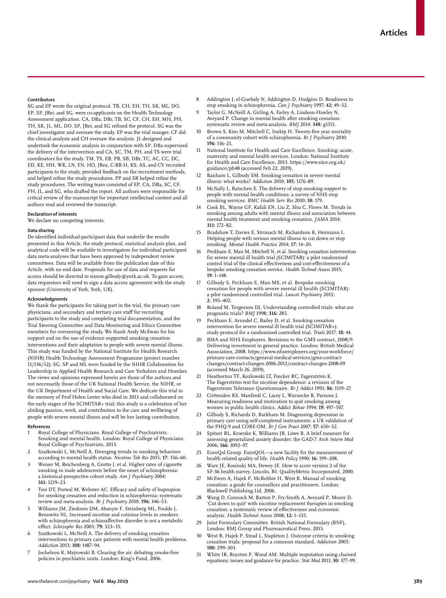#### **Contributors**

SG and EP wrote the original protocol. TB, CH, EH, TH, SK, ML, DO, EP, SP, JRei, and SG, were co-applicants on the Health Technology Assessment application. CA, DBa, DBr, TB, SC, CF, CH, EH, MH, PH, TH, SK, JL, ML, DO, SP, JRei, and SG refined the protocol. SG was the chief investigator and oversaw the study. EP was the trial manger. CF did the clinical analysis and CH oversaw the analysis. JL designed and undertook the economic analysis in conjunction with SP. DBa supervised the delivery of the intervention and CA, SC, TM, PH, and TS were trial coordinators for the study. TM, TS, EB, PB, SB, DBr, TC, AC, CC, DC, ED, KE, HH, WK, LN, EN, HO, JRea, C-BR-H, KS, AS, and CV recruited participants to the study, provided feedback on the recruitment methods, and helped refine the study procedures. PP and SR helped refine the study procedures. The writing team consisted of EP, CA, DBa, SC, CF, PH, JL, and SG, who drafted the report. All authors were responsible for critical review of the manuscript for important intellectual content and all authors read and reviewed the transcript.

#### **Declaration of interests**

We declare no competing interests.

### **Data sharing**

De-identified individual-participant data that underlie the results presented in this Article, the study protocol, statistical analysis plan, and analytical code will be available to investigators for individual participant data meta-analyses that have been approved by independent review committees. Data will be available from the publication date of this Article, with no end date. Proposals for use of data and requests for access should be directed to simon.gilbody@york.ac.uk. To gain access, data requestors will need to sign a data access agreement with the study sponsor (University of York, York, UK).

#### **Acknowledgments**

We thank the participants for taking part in the trial, the primary care physicians, and secondary and tertiary care staff for recruiting participants to the study and completing trial documentation, and the Trial Steering Committee and Data Monitoring and Ethics Committee members for overseeing the study. We thank Andy McEwan for his support and on the use of evidence supported smoking cessation interventions and their adaptation to people with severe mental illness. This study was funded by the National Institute for Health Research (NIHR) Health Technology Assessment Programme (project number 11/136/52); SG, SP and ML were funded by the NIHR Collaboration for Leadership in Applied Health Research and Care Yorkshire and Humber. The views and opinions expressed herein are those of the authors and not necessarily those of the UK National Health Service, the NIHR, or the UK Department of Health and Social Care. We dedicate this trial to the memory of Prof Helen Lester who died in 2013 and collaborated on the early stages of the SCIMITAR+ trial; this study is a celebration of her abiding passion, work, and contribution to the care and wellbeing of people with severe mental illness and will be her lasting contribution.

#### **References**

- Royal College of Physicians, Royal College of Psychiatrists. Smoking and mental health. London: Royal College of Physicians, Royal College of Psychiatrists, 2013.
- 2 Szatkowski L, McNeill A. Diverging trends in smoking behaviors according to mental health status. *Nicotine Tob Res* 2015; **17:** 356–60.
- Weiser M, Reichenberg A, Grotto I, et al. Higher rates of cigarette smoking in male adolescents before the onset of schizophrenia: a historical-prospective cohort study. *Am J Psychiatry* 2004; **161:** 1219–23.
- Tsoi DT, Porwal M, Webster AC. Efficacy and safety of bupropion for smoking cessation and reduction in schizophrenia: systematic review and meta-analysis. *Br J Psychiatry* 2010; **196:** 346–53.
- 5 Williams JM, Ziedonis DM, Abanyie F, Steinberg ML, Foulds J, Benowitz NL. Increased nicotine and cotinine levels in smokers with schizophrenia and schizoaffective disorder is not a metabolic effect. *Schizophr Res* 2005; **79:** 323–35.
- 6 Szatkowski L, McNeill A. The delivery of smoking cessation interventions to primary care patients with mental health problems. *Addiction* 2013; **108:** 1487–94.
- 7 Jochelson K, Majrowski B. Clearing the air: debating smoke-free policies in psychiatric units. London: King's Fund, 2006.
- 8 Addington J, el-Guebaly N, Addington D, Hodgins D. Readiness to stop smoking in schizophrenia. *Can J Psychiatry* 1997; **42:** 49–52.
- 9 Taylor G, McNeill A, Girling A, Farley A, Lindson-Hawley N, Aveyard P. Change in mental health after smoking cessation: systematic review and meta-analysis. *BMJ* 2014; **348:** g1151.
- Brown S, Kim M, Mitchell C, Inskip H. Twenty-five year mortality of a community cohort with schizophrenia. *Br J Psychiatry* 2010; **196:** 116–21.
- 11 National Institute for Health and Care Excellence. Smoking: acute, maternity and mental health services. London: National Institute for Health and Care Excellence, 2013. https://www.nice.org.uk/ guidance/ph48 (accessed Feb 22, 2019).
- Banham L, Gilbody SM. Smoking cessation in severe mental illness: what works? *Addiction* 2010; **105:** 1176–89.
- 13 McNally L, Ratschen E. The delivery of stop smoking support to people with mental health conditions: a survey of NHS stop smoking services. *BMC Health Serv Res* 2010; **10:** 179.
- 14 Cook BL, Wayne GF, Kafali EN, Liu Z, Shu C, Flores M. Trends in smoking among adults with mental illness and association between mental health treatment and smoking cessation. *JAMA* 2014; **311:** 172–82.
- 15 Bradshaw T, Davies E, Stronach M, Richardson K, Hermann L. Helping people with serious mental illness to cut down or stop smoking. *Mental Health Practice* 2014; **17:** 14–20.
- 16 Peckham E, Man M, Mitchell N, et al. Smoking cessation intervention for severe mental ill health trial (SCIMITAR): a pilot randomised control trial of the clinical effectiveness and cost-effectiveness of a bespoke smoking cessation service. *Health Technol Assess* 2015; **19:** 1–148.
- Gilbody S, Peckham E, Man MS, et al. Bespoke smoking cessation for people with severe mental ill health (SCIMITAR): a pilot randomised controlled trial. *Lancet Psychiatry* 2015; **2:** 395–402.
- 18 Roland M, Torgerson DJ. Understanding controlled trials: what are pragmatic trials? *BMJ* 1998; **316:** 285.
- Peckham E, Arundel C, Bailey D, et al. Smoking cessation intervention for severe mental ill health trial (SCIMITAR+): study protocol for a randomised controlled trial. *Trials* 2017; **18:** 44.
- 20 BMA and NHS Employers. Revisions to the GMS contract, 2008/9. Delivering investment in general practice. London: British Medical Association, 2008. https://www.nhsemployers.org/your-workforce/ primary-care-contacts/general-medical-services/gms-contractchanges/contract-changes-2006-2012/contract-changes-2008-09 (accessed March 26, 2019).
- 21 Heatherton TF, Kozlowski LT, Frecker RC, Fagerström K. The Fagerström test for nicotine dependence: a revision of the Fagerstrom Tolerance Questionnaire. *Br J Addict* 1991; **86:** 1119–27.
- 22 Crittenden KS, Manfredi C, Lacey L, Warnecke R, Parsons J. Measuring readiness and motivation to quit smoking among women in public health clinics. *Addict Behav* 1994; **19:** 497–507.
- 23 Gilbody S, Richards D, Barkham M. Diagnosing depression in primary care using self-completed instruments: a UK validation of the PHQ-9 and CORE-OM. *Br J Gen Pract* 2007; **57:** 650–52.
- 24 Spitzer RL, Kroenke K, Williams JB, Löwe B. A brief measure for assessing generalized anxiety disorder: the GAD-7. *Arch Intern Med* 2006; **166:** 1092–97.
- 25 EuroQol Group. EuroQOL—a new facility for the measurement of health related quality of life. *Health Policy* 1990; **16:** 199–208.
- 26 Ware JE, Kosinski MA, Dewey JE. How to score version 2 of the SF-36 health survey. Lincoln, RI: QualityMetric Incorporated, 2000.
- 27 McEwen A, Hajek P, McRobbie H, West R. Manual of smoking cessation: a guide for counsellors and practitioners. London: Blackwell Publishing Ltd, 2006.
- 28 Wang D, Connock M, Barton P, Fry-Smith A, Aveyard P, Moore D. 'Cut down to quit' with nicotine replacement therapies in smoking cessation: a systematic review of effectiveness and economic analysis. *Health Technol Assess* 2008; **12:** 1–135.
- 29 Joint Formulary Committee. British National Formulary (BNF). London: BMJ Group and Pharmaceutical Press, 2015.
- 30 West R, Hajek P, Stead L, Stapleton J. Outcome criteria in smoking cessation trials: proposal for a common standard. *Addiction* 2005; **100:** 299–303.
- 31 White IR, Royston P, Wood AM. Multiple imputation using chained equations: issues and guidance for practice. *Stat Med* 2011; **30:** 377–99.